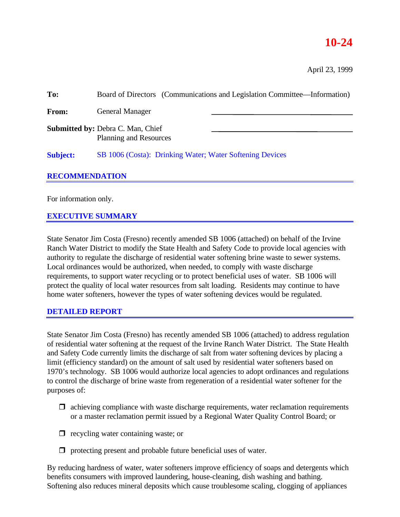# **10-24**

April 23, 1999

| To:                   | Board of Directors (Communications and Legislation Committee—Information) |  |
|-----------------------|---------------------------------------------------------------------------|--|
| <b>From:</b>          | <b>General Manager</b>                                                    |  |
|                       | <b>Submitted by: Debra C. Man, Chief</b><br><b>Planning and Resources</b> |  |
| <b>Subject:</b>       | SB 1006 (Costa): Drinking Water; Water Softening Devices                  |  |
| <b>RECOMMENDATION</b> |                                                                           |  |
| For information only. |                                                                           |  |

## **EXECUTIVE SUMMARY**

State Senator Jim Costa (Fresno) recently amended SB 1006 (attached) on behalf of the Irvine Ranch Water District to modify the State Health and Safety Code to provide local agencies with authority to regulate the discharge of residential water softening brine waste to sewer systems. Local ordinances would be authorized, when needed, to comply with waste discharge requirements, to support water recycling or to protect beneficial uses of water. SB 1006 will protect the quality of local water resources from salt loading. Residents may continue to have home water softeners, however the types of water softening devices would be regulated.

#### **DETAILED REPORT**

State Senator Jim Costa (Fresno) has recently amended SB 1006 (attached) to address regulation of residential water softening at the request of the Irvine Ranch Water District. The State Health and Safety Code currently limits the discharge of salt from water softening devices by placing a limit (efficiency standard) on the amount of salt used by residential water softeners based on 1970's technology. SB 1006 would authorize local agencies to adopt ordinances and regulations to control the discharge of brine waste from regeneration of a residential water softener for the purposes of:

- $\Box$  achieving compliance with waste discharge requirements, water reclamation requirements or a master reclamation permit issued by a Regional Water Quality Control Board; or
- $\Box$  recycling water containing waste; or
- $\Box$  protecting present and probable future beneficial uses of water.

By reducing hardness of water, water softeners improve efficiency of soaps and detergents which benefits consumers with improved laundering, house-cleaning, dish washing and bathing. Softening also reduces mineral deposits which cause troublesome scaling, clogging of appliances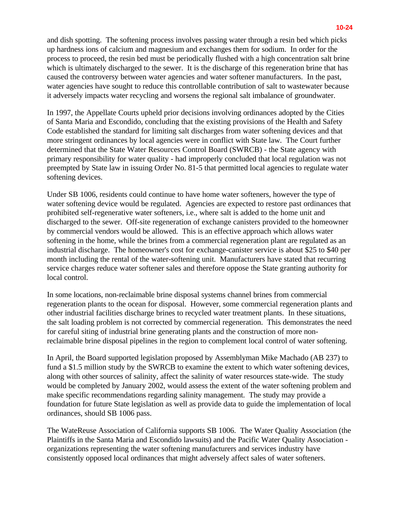and dish spotting. The softening process involves passing water through a resin bed which picks up hardness ions of calcium and magnesium and exchanges them for sodium. In order for the

process to proceed, the resin bed must be periodically flushed with a high concentration salt brine which is ultimately discharged to the sewer. It is the discharge of this regeneration brine that has caused the controversy between water agencies and water softener manufacturers. In the past, water agencies have sought to reduce this controllable contribution of salt to wastewater because it adversely impacts water recycling and worsens the regional salt imbalance of groundwater.

In 1997, the Appellate Courts upheld prior decisions involving ordinances adopted by the Cities of Santa Maria and Escondido, concluding that the existing provisions of the Health and Safety Code established the standard for limiting salt discharges from water softening devices and that more stringent ordinances by local agencies were in conflict with State law. The Court further determined that the State Water Resources Control Board (SWRCB) - the State agency with primary responsibility for water quality - had improperly concluded that local regulation was not preempted by State law in issuing Order No. 81-5 that permitted local agencies to regulate water softening devices.

Under SB 1006, residents could continue to have home water softeners, however the type of water softening device would be regulated. Agencies are expected to restore past ordinances that prohibited self-regenerative water softeners, i.e., where salt is added to the home unit and discharged to the sewer. Off-site regeneration of exchange canisters provided to the homeowner by commercial vendors would be allowed. This is an effective approach which allows water softening in the home, while the brines from a commercial regeneration plant are regulated as an industrial discharge. The homeowner's cost for exchange-canister service is about \$25 to \$40 per month including the rental of the water-softening unit. Manufacturers have stated that recurring service charges reduce water softener sales and therefore oppose the State granting authority for local control.

In some locations, non-reclaimable brine disposal systems channel brines from commercial regeneration plants to the ocean for disposal. However, some commercial regeneration plants and other industrial facilities discharge brines to recycled water treatment plants. In these situations, the salt loading problem is not corrected by commercial regeneration. This demonstrates the need for careful siting of industrial brine generating plants and the construction of more nonreclaimable brine disposal pipelines in the region to complement local control of water softening.

In April, the Board supported legislation proposed by Assemblyman Mike Machado (AB 237) to fund a \$1.5 million study by the SWRCB to examine the extent to which water softening devices, along with other sources of salinity, affect the salinity of water resources state-wide. The study would be completed by January 2002, would assess the extent of the water softening problem and make specific recommendations regarding salinity management. The study may provide a foundation for future State legislation as well as provide data to guide the implementation of local ordinances, should SB 1006 pass.

The WateReuse Association of California supports SB 1006. The Water Quality Association (the Plaintiffs in the Santa Maria and Escondido lawsuits) and the Pacific Water Quality Association organizations representing the water softening manufacturers and services industry have consistently opposed local ordinances that might adversely affect sales of water softeners.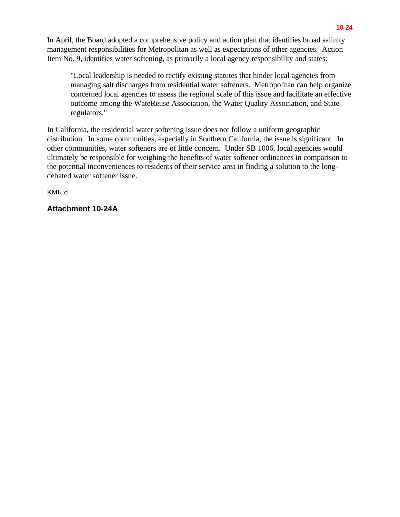In April, the Board adopted a comprehensive policy and action plan that identifies broad salinity management responsibilities for Metropolitan as well as expectations of other agencies. Action Item No. 9, identifies water softening, as primarily a local agency responsibility and states:

"Local leadership is needed to rectify existing statutes that hinder local agencies from managing salt discharges from residential water softeners. Metropolitan can help organize concerned local agencies to assess the regional scale of this issue and facilitate an effective outcome among the WateReuse Association, the Water Quality Association, and State regulators."

In California, the residential water softening issue does not follow a uniform geographic distribution. In some communities, especially in Southern California, the issue is significant. In other communities, water softeners are of little concern. Under SB 1006, local agencies would ultimately be responsible for weighing the benefits of water softener ordinances in comparison to the potential inconveniences to residents of their service area in finding a solution to the longdebated water softener issue.

KMK:cl

## **Attachment 10-24A**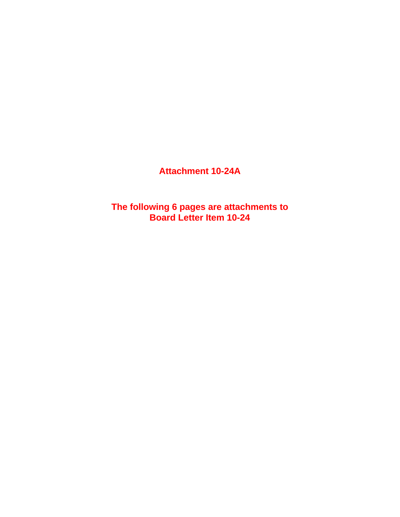**Attachment 10-24A**

**The following 6 pages are attachments to Board Letter Item 10-24**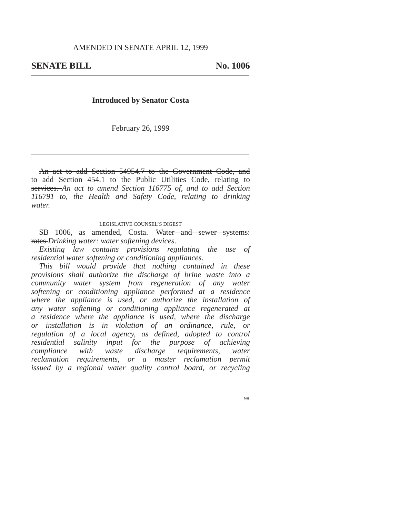#### **Introduced by Senator Costa**

February 26, 1999

An act to add Section 54954.7 to the Government Code, and to add Section 454.1 to the Public Utilities Code, relating to services. *An act to amend Section 116775 of, and to add Section 116791 to, the Health and Safety Code, relating to drinking water.*

#### LEGISLATIVE COUNSEL'S DIGEST

SB 1006, as amended, Costa. Water and sewer systems: rates *Drinking water: water softening devices*.

*Existing law contains provisions regulating the use of residential water softening or conditioning appliances.*

*This bill would provide that nothing contained in these provisions shall authorize the discharge of brine waste into a community water system from regeneration of any water softening or conditioning appliance performed at a residence where the appliance is used, or authorize the installation of any water softening or conditioning appliance regenerated at a residence where the appliance is used, where the discharge or installation is in violation of an ordinance, rule, or regulation of a local agency, as defined, adopted to control residential salinity input for the purpose of achieving compliance with waste discharge requirements, water reclamation requirements, or a master reclamation permit issued by a regional water quality control board, or recycling*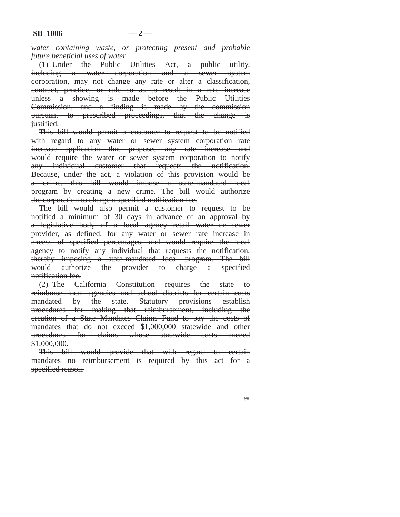*water containing waste, or protecting present and probable future beneficial uses of water.*

(1) Under the Public Utilities Act, a public utility, including a water corporation and a sewer system corporation, may not change any rate or alter a classification, contract, practice, or rule so as to result in a rate increase unless a showing is made before the Public Utilities Commission, and a finding is made by the commission pursuant to prescribed proceedings, that the change is justified.

This bill would permit a customer to request to be notified with regard to any water or sewer system corporation rate increase application that proposes any rate increase and would require the water or sewer system corporation to notify any individual customer that requests the notification. Because, under the act, a violation of this provision would be a crime, this bill would impose a state-mandated local program by creating a new crime. The bill would authorize the corporation to charge a specified notification fee.

The bill would also permit a customer to request to be notified a minimum of 30 days in advance of an approval by a legislative body of a local agency retail water or sewer provider, as defined, for any water or sewer rate increase in excess of specified percentages, and would require the local agency to notify any individual that requests the notification, thereby imposing a state-mandated local program. The bill would authorize the provider to charge a specified notification fee.

(2) The California Constitution requires the state to reimburse local agencies and school districts for certain costs mandated by the state. Statutory provisions establish procedures for making that reimbursement, including the creation of a State Mandates Claims Fund to pay the costs of mandates that do not exceed \$1,000,000 statewide and other procedures for claims whose statewide costs exceed \$1,000,000.

This bill would provide that with regard to certain mandates no reimbursement is required by this act for a specified reason.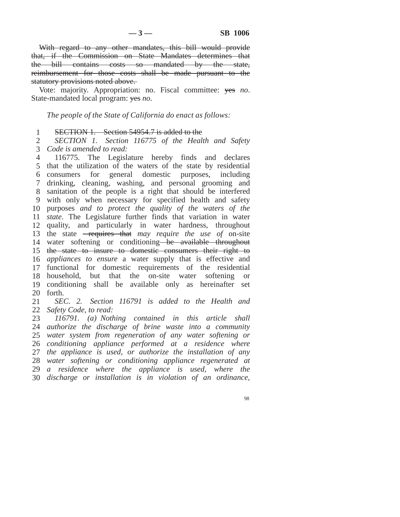With regard to any other mandates, this bill would provide that, if the Commission on State Mandates determines that the bill contains costs so mandated by the state, reimbursement for those costs shall be made pursuant to the statutory provisions noted above.

Vote: majority. Appropriation: no. Fiscal committee: yes *no*. State-mandated local program: yes *no*.

*The people of the State of California do enact as follows:*

 SECTION 1. Section 54954.7 is added to the

 *Code is amended to read: SECTION 1. Section 116775 of the Health and Safety*

 that the utilization of the waters of the state by residential consumers for general domestic purposes, including drinking, cleaning, washing, and personal grooming and sanitation of the people is a right that should be interfered with only when necessary for specified health and safety purposes *and to protect the quality of the waters of the state*. The Legislature further finds that variation in water quality, and particularly in water hardness, throughout 13 the state **-requires that** may require the use of on-site 14 water softening or conditioning-be available throughout the state to insure to domestic consumers their right to *appliances to ensure* a water supply that is effective and functional for domestic requirements of the residential household, but that the on-site water softening or conditioning shall be available only as hereinafter set forth. 116775. The Legislature hereby finds and declares

 *Safety Code, to read: SEC. 2. Section 116791 is added to the Health and*

 *authorize the discharge of brine waste into a community water system from regeneration of any water softening or water softening or conditioning appliance regenerated at a residence where the appliance is used, where the discharge or installation is in violation of an ordinance,116791. (a) Nothing contained in this article shall conditioning appliance performed at a residence where the appliance is used, or authorize the installation of any*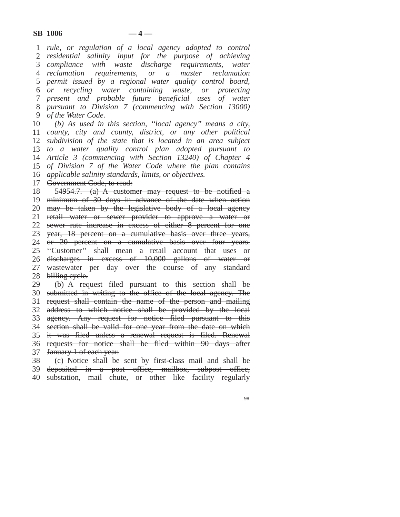*rule, or regulation of a local agency adopted to control residential salinity input for the purpose of achieving compliance with waste discharge requirements, water reclamation requirements, or a master reclamation permit issued by a regional water quality control board,* or *present and probable future beneficial uses of water pursuant to Division 7 (commencing with Section 13000) of the Water Code. recycling water containing waste, or protecting* 

 *county, city and county, district, or any other political subdivision of the state that is located in an area subject to a water quality control plan adopted pursuant to Article 3 (commencing with Section 13240) of Chapter 4 of Division 7 of the Water Code where the plan contains applicable salinity standards, limits, or objectives. (b) As used in this section, ''local agency'' means a city,*

17 Government Code, to read:

 minimum of 30 days in advance of the date when action may be taken by the legislative body of a local agency retail water or sewer provider to approve a water or sewer rate increase in excess of either 8 percent for one year, 18 percent on a cumulative basis over three years, or 20 percent on a cumulative basis over four years. submitted in writing to the office of the local agency. The section shall be valid for one year from the date on which 54954.7. (a) A customer may request to be notified a ''Customer'' shall mean a retail account that uses or discharges in excess of 10,000 gallons of water or wastewater per day over the course of any standard billing eyele. (b) A request filed pursuant to this section shall be request shall contain the name of the person and mailing address to which notice shall be provided by the local agency. Any request for notice filed pursuant to this

 it was filed unless a renewal request is filed. Renewal requests for notice shall be filed within 90 days after January 1 of each year.

 (c) Notice shall be sent by first-class mail and shall be

 deposited in a post office, mailbox, subpost office,

 substation, mail chute, or other like facility regularly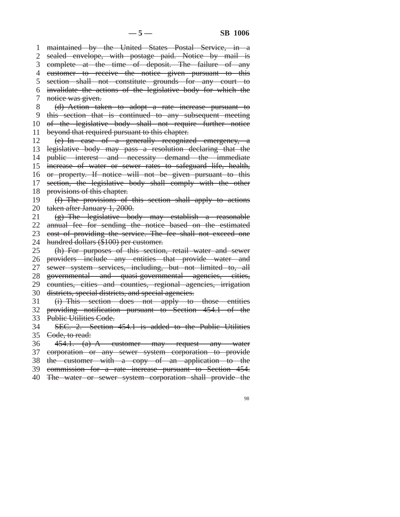1 maintained by the United States Postal Service, in a 2 3 complete at the time of deposit. The failure of any 4 customer to receive the notice given pursuant to this 5 6 7 8 9 10 11 12 13 14 public interest and necessity demand the immediate 15 increase of water or sewer rates to safeguard life, health, 16 or property. If notice will not be given pursuant to this 17 18 19 20 taken after January 1, 2000. 21 22 23 24 25 26 27 28 29 30 31 32 33 34 35 Code, to read: 36 37 corporation or any sewer system corporation to provide 38 39 sealed envelope, with postage paid. Notice by mail is section shall not constitute grounds for any court to invalidate the actions of the legislative body for which the notice was given. (d) Action taken to adopt a rate increase pursuant to this section that is continued to any subsequent meeting of the legislative body shall not require further notice beyond that required pursuant to this chapter. (e) In case of a generally recognized emergency, a legislative body may pass a resolution declaring that the section, the legislative body shall comply with the other provisions of this chapter. (f) The provisions of this section shall apply to actions (g) The legislative body may establish a reasonable annual fee for sending the notice based on the estimated cost of providing the service. The fee shall not exceed one hundred dollars (\$100) per customer. (h) For purposes of this section, retail water and sewer providers include any entities that provide water and sewer system services, including, but not limited to, all governmental and quasi-governmental agencies, cities, counties, cities and counties, regional agencies, irrigation districts, special districts, and special agencies. (i) This section does not apply to those entities providing notification pursuant to Section 454.1 of the Public Utilities Code. SEC. 2. Section 454.1 is added to the Public Utilities 454.1. (a) A customer may request any water the customer with a copy of an application to the commission for a rate increase pursuant to Section 454.

40 The water or sewer system corporation shall provide the